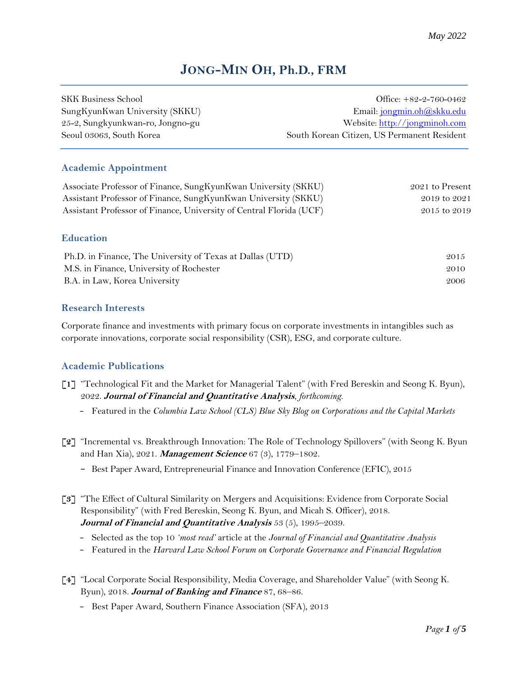# **JONG-MIN OH, Ph.D., FRM**

| SKK Business School              | Office: $+82-2-760-0462$                    |
|----------------------------------|---------------------------------------------|
| SungKyunKwan University (SKKU)   | Email: jongmin.oh@skku.edu                  |
| 25-2, Sungkyunkwan-ro, Jongno-gu | Website: http://jongminoh.com               |
| Seoul 03063, South Korea         | South Korean Citizen, US Permanent Resident |
|                                  |                                             |

# **Academic Appointment**

| Associate Professor of Finance, SungKyunKwan University (SKKU)      | 2021 to Present |  |
|---------------------------------------------------------------------|-----------------|--|
| Assistant Professor of Finance, SungKyunKwan University (SKKU)      | 2019 to 2021    |  |
| Assistant Professor of Finance, University of Central Florida (UCF) | 2015 to 2019    |  |
|                                                                     |                 |  |
| <b>Education</b>                                                    |                 |  |
| Ph.D. in Finance, The University of Texas at Dallas (UTD)           | 2015            |  |

| $\Gamma$ r.D. in Finance, The University of Texas at Dallas (UTD) | 201 <i>5</i> |
|-------------------------------------------------------------------|--------------|
| M.S. in Finance, University of Rochester                          | 2010         |
| B.A. in Law, Korea University                                     | 2006         |

# **Research Interests**

Corporate finance and investments with primary focus on corporate investments in intangibles such as corporate innovations, corporate social responsibility (CSR), ESG, and corporate culture.

# **Academic Publications**

- **[1]** "Technological Fit and the Market for Managerial Talent" (with Fred Bereskin and Seong K. Byun), 2022. **Journal of Financial and Quantitative Analysis**, *forthcoming*.
	- − Featured in the *Columbia Law School (CLS) Blue Sky Blog on Corporations and the Capital Markets*
- **[2]** "Incremental vs. Breakthrough Innovation: The Role of Technology Spillovers" (with Seong K. Byun and Han Xia), 2021. **Management Science** 67 (3), 1779–1802.
	- − Best Paper Award, Entrepreneurial Finance and Innovation Conference (EFIC), 2015
- **[3]** "The Effect of Cultural Similarity on Mergers and Acquisitions: Evidence from Corporate Social Responsibility" (with Fred Bereskin, Seong K. Byun, and Micah S. Officer), 2018. **Journal of Financial and Quantitative Analysis** 53 (5), 1995–2039.
	- − Selected as the top 10 *'most read'* article at the *Journal of Financial and Quantitative Analysis*
	- − Featured in the *Harvard Law School Forum on Corporate Governance and Financial Regulation*
- **[4]** "Local Corporate Social Responsibility, Media Coverage, and Shareholder Value" (with Seong K. Byun), 2018. **Journal of Banking and Finance** 87, 68–86.
	- − Best Paper Award, Southern Finance Association (SFA), 2013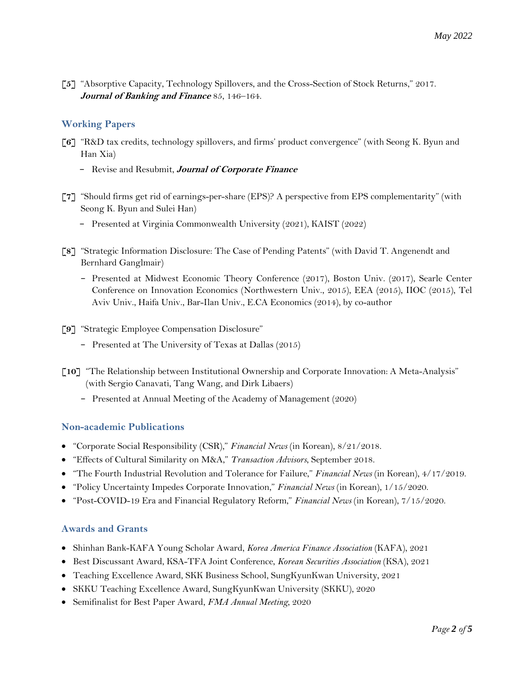**[5]** "Absorptive Capacity, Technology Spillovers, and the Cross-Section of Stock Returns," 2017. **Journal of Banking and Finance** 85, 146–164.

# **Working Papers**

- **[6]** "R&D tax credits, technology spillovers, and firms' product convergence" (with Seong K. Byun and Han Xia)
	- − Revise and Resubmit, **Journal of Corporate Finance**
- **[7]** "Should firms get rid of earnings-per-share (EPS)? A perspective from EPS complementarity" (with Seong K. Byun and Sulei Han)
	- − Presented at Virginia Commonwealth University (2021), KAIST (2022)
- **[8]** "Strategic Information Disclosure: The Case of Pending Patents" (with David T. Angenendt and Bernhard Ganglmair)
	- − Presented at Midwest Economic Theory Conference (2017), Boston Univ. (2017), Searle Center Conference on Innovation Economics (Northwestern Univ., 2015), EEA (2015), IIOC (2015), Tel Aviv Univ., Haifa Univ., Bar-Ilan Univ., E.CA Economics (2014), by co-author
- **[9]** "Strategic Employee Compensation Disclosure"
	- − Presented at The University of Texas at Dallas (2015)
- **[10]** "The Relationship between Institutional Ownership and Corporate Innovation: A Meta-Analysis" (with Sergio Canavati, Tang Wang, and Dirk Libaers)
	- − Presented at Annual Meeting of the Academy of Management (2020)

# **Non-academic Publications**

- "Corporate Social Responsibility (CSR)," *Financial News* (in Korean), 8/21/2018.
- "Effects of Cultural Similarity on M&A," *Transaction Advisors*, September 2018.
- "The Fourth Industrial Revolution and Tolerance for Failure," *Financial News* (in Korean), 4/17/2019.
- "Policy Uncertainty Impedes Corporate Innovation," *Financial News* (in Korean), 1/15/2020.
- "Post-COVID-19 Era and Financial Regulatory Reform," *Financial News* (in Korean), 7/15/2020.

# **Awards and Grants**

- Shinhan Bank-KAFA Young Scholar Award, *Korea America Finance Association* (KAFA), 2021
- Best Discussant Award, KSA-TFA Joint Conference, *Korean Securities Association* (KSA), 2021
- Teaching Excellence Award, SKK Business School, SungKyunKwan University, 2021
- SKKU Teaching Excellence Award, SungKyunKwan University (SKKU), 2020
- Semifinalist for Best Paper Award, *FMA Annual Meeting*, 2020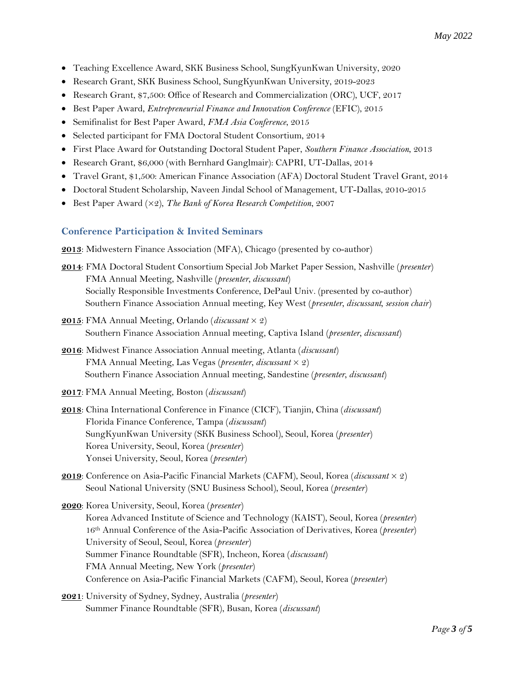- Teaching Excellence Award, SKK Business School, SungKyunKwan University, 2020
- Research Grant, SKK Business School, SungKyunKwan University, 2019-2023
- Research Grant, \$7,500: Office of Research and Commercialization (ORC), UCF, 2017
- Best Paper Award, *Entrepreneurial Finance and Innovation Conference* (EFIC), 2015
- Semifinalist for Best Paper Award, *FMA Asia Conference*, 2015
- Selected participant for FMA Doctoral Student Consortium, 2014
- First Place Award for Outstanding Doctoral Student Paper, *Southern Finance Association*, 2013
- Research Grant, \$6,000 (with Bernhard Ganglmair): CAPRI, UT-Dallas, 2014
- Travel Grant, \$1,500: American Finance Association (AFA) Doctoral Student Travel Grant, 2014
- Doctoral Student Scholarship, Naveen Jindal School of Management, UT-Dallas, 2010-2015
- Best Paper Award ( $\times$ 2), *The Bank of Korea Research Competition*, 2007

### **Conference Participation & Invited Seminars**

**2013**: Midwestern Finance Association (MFA), Chicago (presented by co-author)

- **2014**: FMA Doctoral Student Consortium Special Job Market Paper Session, Nashville (*presenter*) FMA Annual Meeting, Nashville (*presenter, discussant*) Socially Responsible Investments Conference, DePaul Univ. (presented by co-author) Southern Finance Association Annual meeting, Key West (*presenter, discussant, session chair*)
- **2015**: FMA Annual Meeting, Orlando (*discussant* × 2) Southern Finance Association Annual meeting, Captiva Island (*presenter, discussant*)
- **2016**: Midwest Finance Association Annual meeting, Atlanta (*discussant*) FMA Annual Meeting, Las Vegas (*presenter, discussant* × 2) Southern Finance Association Annual meeting, Sandestine (*presenter, discussant*)
- **2017**: FMA Annual Meeting, Boston (*discussant*)
- **2018**: China International Conference in Finance (CICF), Tianjin, China (*discussant*) Florida Finance Conference, Tampa (*discussant*) SungKyunKwan University (SKK Business School), Seoul, Korea (*presenter*) Korea University, Seoul, Korea (*presenter*) Yonsei University, Seoul, Korea (*presenter*)
- **2019**: Conference on Asia-Pacific Financial Markets (CAFM), Seoul, Korea (*discussant* × 2) Seoul National University (SNU Business School), Seoul, Korea (*presenter*)
- **2020**: Korea University, Seoul, Korea (*presenter*) Korea Advanced Institute of Science and Technology (KAIST), Seoul, Korea (*presenter*) 16th Annual Conference of the Asia-Pacific Association of Derivatives, Korea (*presenter*) University of Seoul, Seoul, Korea (*presenter*) Summer Finance Roundtable (SFR), Incheon, Korea (*discussant*) FMA Annual Meeting, New York (*presenter*) Conference on Asia-Pacific Financial Markets (CAFM), Seoul, Korea (*presenter*)
- **2021**: University of Sydney, Sydney, Australia (*presenter*) Summer Finance Roundtable (SFR), Busan, Korea (*discussant*)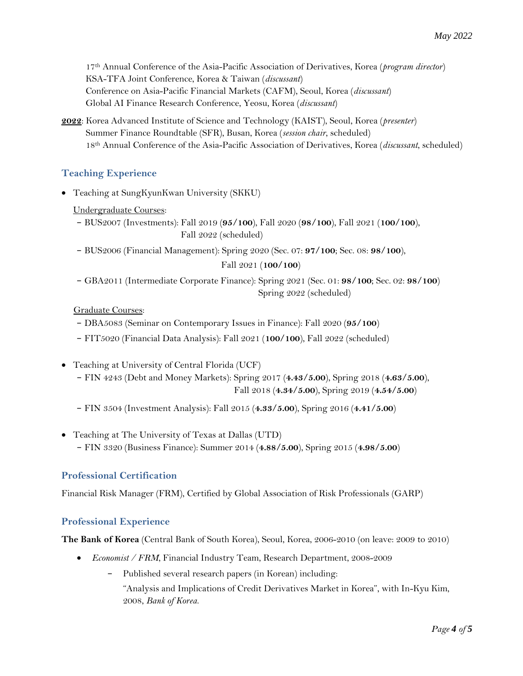17th Annual Conference of the Asia-Pacific Association of Derivatives, Korea (*program director*) KSA-TFA Joint Conference, Korea & Taiwan (*discussant*) Conference on Asia-Pacific Financial Markets (CAFM), Seoul, Korea (*discussant*) Global AI Finance Research Conference, Yeosu, Korea (*discussant*)

**2022**: Korea Advanced Institute of Science and Technology (KAIST), Seoul, Korea (*presenter*) Summer Finance Roundtable (SFR), Busan, Korea (*session chair*, scheduled) 18th Annual Conference of the Asia-Pacific Association of Derivatives, Korea (*discussant*, scheduled)

# **Teaching Experience**

- Teaching at SungKyunKwan University (SKKU)
	- Undergraduate Courses:
	- − BUS2007 (Investments): Fall 2019 (**95/100**), Fall 2020 (**98/100**), Fall 2021 (**100/100**), Fall 2022 (scheduled)
	- − BUS2006 (Financial Management): Spring 2020 (Sec. 07: **97/100**; Sec. 08: **98/100**),

### Fall 2021 (**100/100**)

− GBA2011 (Intermediate Corporate Finance): Spring 2021 (Sec. 01: **98/100**; Sec. 02: **98/100**) Spring 2022 (scheduled)

### Graduate Courses:

- − DBA5083 (Seminar on Contemporary Issues in Finance): Fall 2020 (**95/100**)
- − FIT5020 (Financial Data Analysis): Fall 2021 (**100/100**), Fall 2022 (scheduled)
- Teaching at University of Central Florida (UCF)
	- − FIN 4243 (Debt and Money Markets): Spring 2017 (**4.43/5.00**), Spring 2018 (**4.63/5.00**), Fall 2018 (**4.34/5.00**), Spring 2019 (**4.54/5.00**)
	- − FIN 3504 (Investment Analysis): Fall 2015 (**4.33/5.00**), Spring 2016 (**4.41/5.00**)
- Teaching at The University of Texas at Dallas (UTD)
	- − FIN 3320 (Business Finance): Summer 2014 (**4.88/5.00**), Spring 2015 (**4.98/5.00**)

# **Professional Certification**

Financial Risk Manager (FRM), Certified by Global Association of Risk Professionals (GARP)

# **Professional Experience**

**The Bank of Korea** (Central Bank of South Korea), Seoul, Korea, 2006-2010 (on leave: 2009 to 2010)

- *Economist / FRM*, Financial Industry Team, Research Department, 2008-2009
	- − Published several research papers (in Korean) including: "Analysis and Implications of Credit Derivatives Market in Korea", with In-Kyu Kim, 2008, *Bank of Korea*.